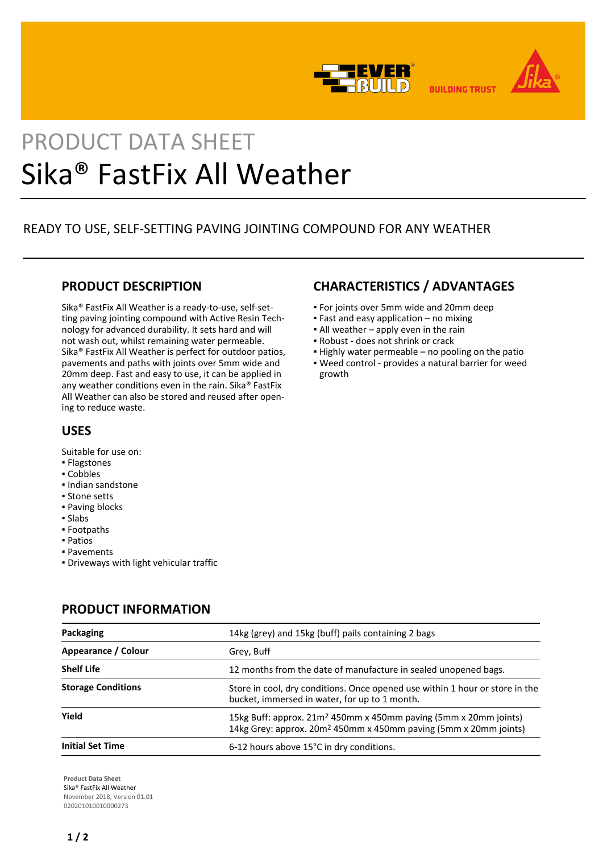



# PRODUCT DATA SHEET Sika® FastFix All Weather

# READY TO USE, SELF-SETTING PAVING JOINTING COMPOUND FOR ANY WEATHER

### **PRODUCT DESCRIPTION**

Sika® FastFix All Weather is a ready-to-use, self-setting paving jointing compound with Active Resin Technology for advanced durability. It sets hard and will not wash out, whilst remaining water permeable. Sika® FastFix All Weather is perfect for outdoor patios, pavements and paths with joints over 5mm wide and 20mm deep. Fast and easy to use, it can be applied in any weather conditions even in the rain. Sika® FastFix All Weather can also be stored and reused after opening to reduce waste.

## **CHARACTERISTICS / ADVANTAGES**

- For joints over 5mm wide and 20mm deep
- $\blacksquare$  Fast and easy application no mixing
- **.** All weather apply even in the rain
- Robust does not shrink or crack
- Highly water permeable no pooling on the patio
- Weed control provides a natural barrier for weed growth

## USES

Suitable for use on:

- Flagstones
- Cobbles
- Indian sandstone
- Stone setts
- Paving blocks
- Slabs
- Footpaths
- Patios
- Pavements
- Driveways with light vehicular traffic

## **PRODUCT INFORMATION**

| Packaging                 | 14kg (grey) and 15kg (buff) pails containing 2 bags                                                                                                          |
|---------------------------|--------------------------------------------------------------------------------------------------------------------------------------------------------------|
| Appearance / Colour       | Grey, Buff                                                                                                                                                   |
| <b>Shelf Life</b>         | 12 months from the date of manufacture in sealed unopened bags.                                                                                              |
| <b>Storage Conditions</b> | Store in cool, dry conditions. Once opened use within 1 hour or store in the<br>bucket, immersed in water, for up to 1 month.                                |
| Yield                     | 15kg Buff: approx. 21m <sup>2</sup> 450mm x 450mm paving (5mm x 20mm joints)<br>14kg Grey: approx. 20m <sup>2</sup> 450mm x 450mm paving (5mm x 20mm joints) |
| <b>Initial Set Time</b>   | 6-12 hours above 15°C in dry conditions.                                                                                                                     |

**Product Data Sheet** Sika® FastFix All Weather November 2018, Version 01.01 020201010010000273